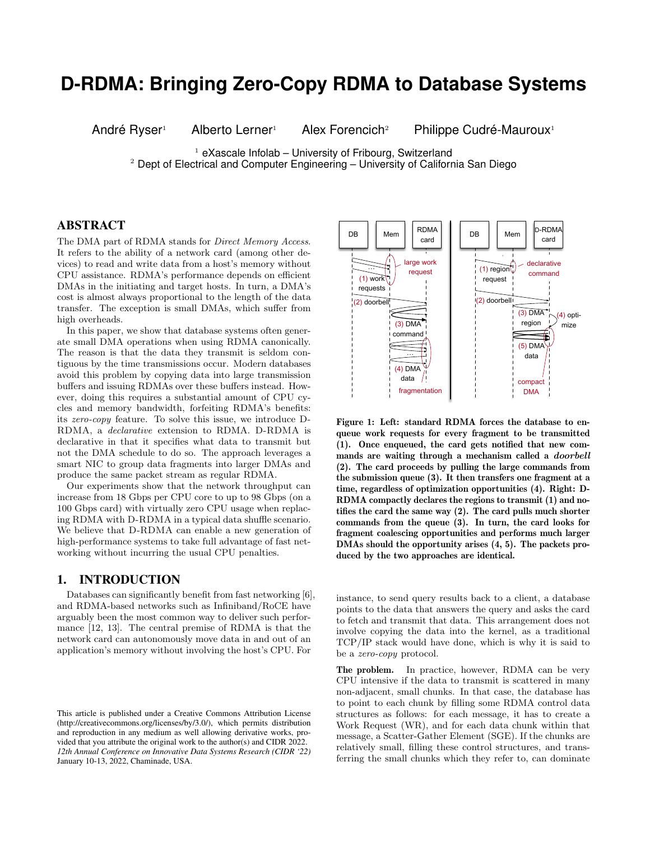# **D-RDMA: Bringing Zero-Copy RDMA to Database Systems**

André Ryser<sup>1</sup> Alberto Lerner<sup>1</sup> Alex Forencich<sup>2</sup> Philippe Cudré-Mauroux<sup>1</sup>

 $1$  eXascale Infolab – University of Fribourg, Switzerland <sup>2</sup> Dept of Electrical and Computer Engineering – University of California San Diego

# ABSTRACT

The DMA part of RDMA stands for Direct Memory Access. It refers to the ability of a network card (among other devices) to read and write data from a host's memory without CPU assistance. RDMA's performance depends on efficient DMAs in the initiating and target hosts. In turn, a DMA's cost is almost always proportional to the length of the data transfer. The exception is small DMAs, which suffer from high overheads.

In this paper, we show that database systems often generate small DMA operations when using RDMA canonically. The reason is that the data they transmit is seldom contiguous by the time transmissions occur. Modern databases avoid this problem by copying data into large transmission buffers and issuing RDMAs over these buffers instead. However, doing this requires a substantial amount of CPU cycles and memory bandwidth, forfeiting RDMA's benefits: its zero-copy feature. To solve this issue, we introduce D-RDMA, a declarative extension to RDMA. D-RDMA is declarative in that it specifies what data to transmit but not the DMA schedule to do so. The approach leverages a smart NIC to group data fragments into larger DMAs and produce the same packet stream as regular RDMA.

Our experiments show that the network throughput can increase from 18 Gbps per CPU core to up to 98 Gbps (on a 100 Gbps card) with virtually zero CPU usage when replacing RDMA with D-RDMA in a typical data shuffle scenario. We believe that D-RDMA can enable a new generation of high-performance systems to take full advantage of fast networking without incurring the usual CPU penalties.

## 1. INTRODUCTION

Databases can significantly benefit from fast networking [6], and RDMA-based networks such as Infiniband/RoCE have arguably been the most common way to deliver such performance [12, 13]. The central premise of RDMA is that the network card can autonomously move data in and out of an application's memory without involving the host's CPU. For



Figure 1: Left: standard RDMA forces the database to enqueue work requests for every fragment to be transmitted (1). Once enqueued, the card gets notified that new commands are waiting through a mechanism called a doorbell (2). The card proceeds by pulling the large commands from the submission queue (3). It then transfers one fragment at a time, regardless of optimization opportunities (4). Right: D-RDMA compactly declares the regions to transmit (1) and notifies the card the same way (2). The card pulls much shorter commands from the queue (3). In turn, the card looks for fragment coalescing opportunities and performs much larger DMAs should the opportunity arises (4, 5). The packets produced by the two approaches are identical.

instance, to send query results back to a client, a database points to the data that answers the query and asks the card to fetch and transmit that data. This arrangement does not involve copying the data into the kernel, as a traditional TCP/IP stack would have done, which is why it is said to be a zero-copy protocol.

The problem. In practice, however, RDMA can be very CPU intensive if the data to transmit is scattered in many non-adjacent, small chunks. In that case, the database has to point to each chunk by filling some RDMA control data structures as follows: for each message, it has to create a Work Request (WR), and for each data chunk within that message, a Scatter-Gather Element (SGE). If the chunks are relatively small, filling these control structures, and transferring the small chunks which they refer to, can dominate

This article is published under a Creative Commons Attribution License (http://creativecommons.org/licenses/by/3.0/), which permits distribution and reproduction in any medium as well allowing derivative works, provided that you attribute the original work to the author(s) and CIDR 2022. *12th Annual Conference on Innovative Data Systems Research (CIDR '22)* January 10-13, 2022, Chaminade, USA.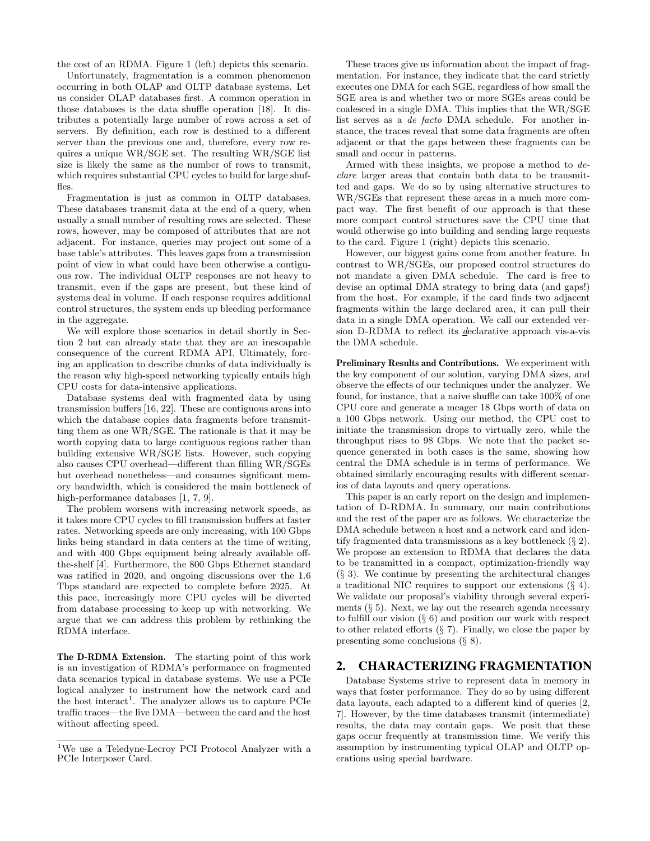the cost of an RDMA. Figure 1 (left) depicts this scenario.

Unfortunately, fragmentation is a common phenomenon occurring in both OLAP and OLTP database systems. Let us consider OLAP databases first. A common operation in those databases is the data shuffle operation [18]. It distributes a potentially large number of rows across a set of servers. By definition, each row is destined to a different server than the previous one and, therefore, every row requires a unique WR/SGE set. The resulting WR/SGE list size is likely the same as the number of rows to transmit, which requires substantial CPU cycles to build for large shuffles.

Fragmentation is just as common in OLTP databases. These databases transmit data at the end of a query, when usually a small number of resulting rows are selected. These rows, however, may be composed of attributes that are not adjacent. For instance, queries may project out some of a base table's attributes. This leaves gaps from a transmission point of view in what could have been otherwise a contiguous row. The individual OLTP responses are not heavy to transmit, even if the gaps are present, but these kind of systems deal in volume. If each response requires additional control structures, the system ends up bleeding performance in the aggregate.

We will explore those scenarios in detail shortly in Section 2 but can already state that they are an inescapable consequence of the current RDMA API. Ultimately, forcing an application to describe chunks of data individually is the reason why high-speed networking typically entails high CPU costs for data-intensive applications.

Database systems deal with fragmented data by using transmission buffers [16, 22]. These are contiguous areas into which the database copies data fragments before transmitting them as one WR/SGE. The rationale is that it may be worth copying data to large contiguous regions rather than building extensive WR/SGE lists. However, such copying also causes CPU overhead—different than filling WR/SGEs but overhead nonetheless—and consumes significant memory bandwidth, which is considered the main bottleneck of high-performance databases [1, 7, 9].

The problem worsens with increasing network speeds, as it takes more CPU cycles to fill transmission buffers at faster rates. Networking speeds are only increasing, with 100 Gbps links being standard in data centers at the time of writing, and with 400 Gbps equipment being already available offthe-shelf [4]. Furthermore, the 800 Gbps Ethernet standard was ratified in 2020, and ongoing discussions over the 1.6 Tbps standard are expected to complete before 2025. At this pace, increasingly more CPU cycles will be diverted from database processing to keep up with networking. We argue that we can address this problem by rethinking the RDMA interface.

The D-RDMA Extension. The starting point of this work is an investigation of RDMA's performance on fragmented data scenarios typical in database systems. We use a PCIe logical analyzer to instrument how the network card and the host interact<sup>1</sup>. The analyzer allows us to capture PCIe traffic traces—the live DMA—between the card and the host without affecting speed.

These traces give us information about the impact of fragmentation. For instance, they indicate that the card strictly executes one DMA for each SGE, regardless of how small the SGE area is and whether two or more SGEs areas could be coalesced in a single DMA. This implies that the WR/SGE list serves as a de facto DMA schedule. For another instance, the traces reveal that some data fragments are often adjacent or that the gaps between these fragments can be small and occur in patterns.

Armed with these insights, we propose a method to declare larger areas that contain both data to be transmitted and gaps. We do so by using alternative structures to WR/SGEs that represent these areas in a much more compact way. The first benefit of our approach is that these more compact control structures save the CPU time that would otherwise go into building and sending large requests to the card. Figure 1 (right) depicts this scenario.

However, our biggest gains come from another feature. In contrast to WR/SGEs, our proposed control structures do not mandate a given DMA schedule. The card is free to devise an optimal DMA strategy to bring data (and gaps!) from the host. For example, if the card finds two adjacent fragments within the large declared area, it can pull their data in a single DMA operation. We call our extended version D-RDMA to reflect its declarative approach vis-a-vis the DMA schedule.

Preliminary Results and Contributions. We experiment with the key component of our solution, varying DMA sizes, and observe the effects of our techniques under the analyzer. We found, for instance, that a naive shuffle can take 100% of one CPU core and generate a meager 18 Gbps worth of data on a 100 Gbps network. Using our method, the CPU cost to initiate the transmission drops to virtually zero, while the throughput rises to 98 Gbps. We note that the packet sequence generated in both cases is the same, showing how central the DMA schedule is in terms of performance. We obtained similarly encouraging results with different scenarios of data layouts and query operations.

This paper is an early report on the design and implementation of D-RDMA. In summary, our main contributions and the rest of the paper are as follows. We characterize the DMA schedule between a host and a network card and identify fragmented data transmissions as a key bottleneck (§ 2). We propose an extension to RDMA that declares the data to be transmitted in a compact, optimization-friendly way  $(\S$  3). We continue by presenting the architectural changes a traditional NIC requires to support our extensions (§ 4). We validate our proposal's viability through several experiments  $(\S 5)$ . Next, we lay out the research agenda necessary to fulfill our vision (§ 6) and position our work with respect to other related efforts  $(\S 7)$ . Finally, we close the paper by presenting some conclusions (§ 8).

## 2. CHARACTERIZING FRAGMENTATION

Database Systems strive to represent data in memory in ways that foster performance. They do so by using different data layouts, each adapted to a different kind of queries [2, 7]. However, by the time databases transmit (intermediate) results, the data may contain gaps. We posit that these gaps occur frequently at transmission time. We verify this assumption by instrumenting typical OLAP and OLTP operations using special hardware.

<sup>1</sup>We use a Teledyne-Lecroy PCI Protocol Analyzer with a PCIe Interposer Card.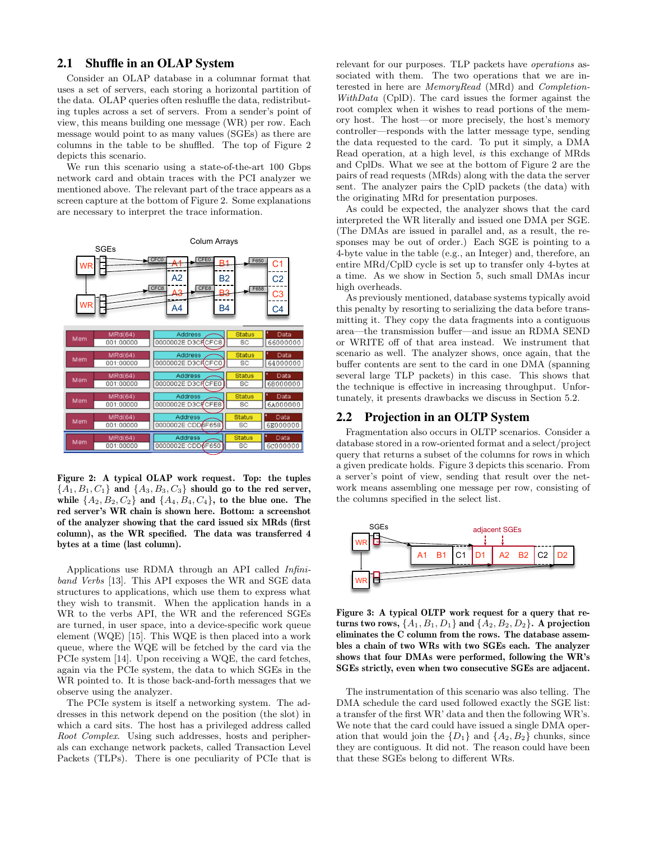# 2.1 Shuffle in an OLAP System

Consider an OLAP database in a columnar format that uses a set of servers, each storing a horizontal partition of the data. OLAP queries often reshuffle the data, redistributing tuples across a set of servers. From a sender's point of view, this means building one message (WR) per row. Each message would point to as many values (SGEs) as there are columns in the table to be shuffled. The top of Figure 2 depicts this scenario.

We run this scenario using a state-of-the-art 100 Gbps network card and obtain traces with the PCI analyzer we mentioned above. The relevant part of the trace appears as a screen capture at the bottom of Figure 2. Some explanations are necessary to interpret the trace information.



Figure 2: A typical OLAP work request. Top: the tuples  ${A_1, B_1, C_1}$  and  ${A_3, B_3, C_3}$  should go to the red server, while  $\{A_2, B_2, C_2\}$  and  $\{A_4, B_4, C_4\}$ , to the blue one. The red server's WR chain is shown here. Bottom: a screenshot of the analyzer showing that the card issued six MRds (first column), as the WR specified. The data was transferred 4 bytes at a time (last column).

Applications use RDMA through an API called Infiniband Verbs [13]. This API exposes the WR and SGE data structures to applications, which use them to express what they wish to transmit. When the application hands in a WR to the verbs API, the WR and the referenced SGEs are turned, in user space, into a device-specific work queue element (WQE) [15]. This WQE is then placed into a work queue, where the WQE will be fetched by the card via the PCIe system [14]. Upon receiving a WQE, the card fetches, again via the PCIe system, the data to which SGEs in the WR pointed to. It is those back-and-forth messages that we observe using the analyzer.

The PCIe system is itself a networking system. The addresses in this network depend on the position (the slot) in which a card sits. The host has a privileged address called Root Complex. Using such addresses, hosts and peripherals can exchange network packets, called Transaction Level Packets (TLPs). There is one peculiarity of PCIe that is relevant for our purposes. TLP packets have operations associated with them. The two operations that we are interested in here are MemoryRead (MRd) and Completion-WithData (CplD). The card issues the former against the root complex when it wishes to read portions of the memory host. The host—or more precisely, the host's memory controller—responds with the latter message type, sending the data requested to the card. To put it simply, a DMA Read operation, at a high level, is this exchange of MRds and CplDs. What we see at the bottom of Figure 2 are the pairs of read requests (MRds) along with the data the server sent. The analyzer pairs the CplD packets (the data) with the originating MRd for presentation purposes.

As could be expected, the analyzer shows that the card interpreted the WR literally and issued one DMA per SGE. (The DMAs are issued in parallel and, as a result, the responses may be out of order.) Each SGE is pointing to a 4-byte value in the table (e.g., an Integer) and, therefore, an entire MRd/CplD cycle is set up to transfer only 4-bytes at a time. As we show in Section 5, such small DMAs incur high overheads.

As previously mentioned, database systems typically avoid this penalty by resorting to serializing the data before transmitting it. They copy the data fragments into a contiguous area—the transmission buffer—and issue an RDMA SEND or WRITE off of that area instead. We instrument that scenario as well. The analyzer shows, once again, that the buffer contents are sent to the card in one DMA (spanning several large TLP packets) in this case. This shows that the technique is effective in increasing throughput. Unfortunately, it presents drawbacks we discuss in Section 5.2.

### 2.2 Projection in an OLTP System

Fragmentation also occurs in OLTP scenarios. Consider a database stored in a row-oriented format and a select/project query that returns a subset of the columns for rows in which a given predicate holds. Figure 3 depicts this scenario. From a server's point of view, sending that result over the network means assembling one message per row, consisting of the columns specified in the select list.



Figure 3: A typical OLTP work request for a query that returns two rows,  $\{A_1, B_1, D_1\}$  and  $\{A_2, B_2, D_2\}$ . A projection eliminates the C column from the rows. The database assembles a chain of two WRs with two SGEs each. The analyzer shows that four DMAs were performed, following the WR's SGEs strictly, even when two consecutive SGEs are adjacent.

The instrumentation of this scenario was also telling. The DMA schedule the card used followed exactly the SGE list: a transfer of the first WR' data and then the following WR's. We note that the card could have issued a single DMA operation that would join the  $\{D_1\}$  and  $\{A_2, B_2\}$  chunks, since they are contiguous. It did not. The reason could have been that these SGEs belong to different WRs.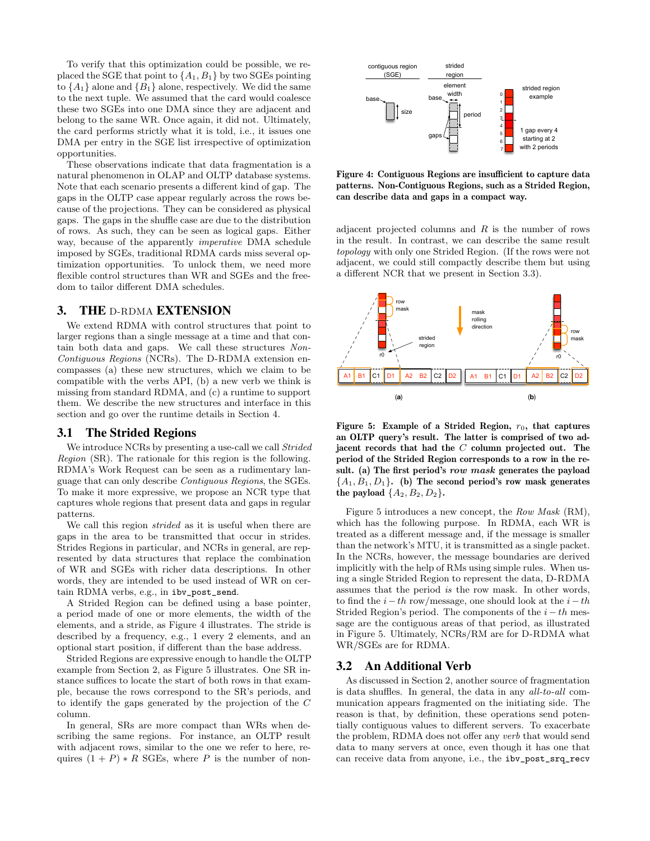To verify that this optimization could be possible, we replaced the SGE that point to  $\{A_1, B_1\}$  by two SGEs pointing to  $\{A_1\}$  alone and  $\{B_1\}$  alone, respectively. We did the same to the next tuple. We assumed that the card would coalesce these two SGEs into one DMA since they are adjacent and belong to the same WR. Once again, it did not. Ultimately, the card performs strictly what it is told, i.e., it issues one DMA per entry in the SGE list irrespective of optimization opportunities.

These observations indicate that data fragmentation is a natural phenomenon in OLAP and OLTP database systems. Note that each scenario presents a different kind of gap. The gaps in the OLTP case appear regularly across the rows because of the projections. They can be considered as physical gaps. The gaps in the shuffle case are due to the distribution of rows. As such, they can be seen as logical gaps. Either way, because of the apparently imperative DMA schedule imposed by SGEs, traditional RDMA cards miss several optimization opportunities. To unlock them, we need more flexible control structures than WR and SGEs and the freedom to tailor different DMA schedules.

### 3. THE D-RDMA EXTENSION

We extend RDMA with control structures that point to larger regions than a single message at a time and that contain both data and gaps. We call these structures Non-Contiguous Regions (NCRs). The D-RDMA extension encompasses (a) these new structures, which we claim to be compatible with the verbs API, (b) a new verb we think is missing from standard RDMA, and (c) a runtime to support them. We describe the new structures and interface in this section and go over the runtime details in Section 4.

#### 3.1 The Strided Regions

We introduce NCRs by presenting a use-call we call *Strided* Region (SR). The rationale for this region is the following. RDMA's Work Request can be seen as a rudimentary language that can only describe Contiguous Regions, the SGEs. To make it more expressive, we propose an NCR type that captures whole regions that present data and gaps in regular patterns.

We call this region strided as it is useful when there are gaps in the area to be transmitted that occur in strides. Strides Regions in particular, and NCRs in general, are represented by data structures that replace the combination of WR and SGEs with richer data descriptions. In other words, they are intended to be used instead of WR on certain RDMA verbs, e.g., in ibv\_post\_send.

A Strided Region can be defined using a base pointer, a period made of one or more elements, the width of the elements, and a stride, as Figure 4 illustrates. The stride is described by a frequency, e.g., 1 every 2 elements, and an optional start position, if different than the base address.

Strided Regions are expressive enough to handle the OLTP example from Section 2, as Figure 5 illustrates. One SR instance suffices to locate the start of both rows in that example, because the rows correspond to the SR's periods, and to identify the gaps generated by the projection of the C column.

In general, SRs are more compact than WRs when describing the same regions. For instance, an OLTP result with adjacent rows, similar to the one we refer to here, requires  $(1 + P) * R$  SGEs, where P is the number of non-



Figure 4: Contiguous Regions are insufficient to capture data patterns. Non-Contiguous Regions, such as a Strided Region, can describe data and gaps in a compact way.

adjacent projected columns and  $R$  is the number of rows in the result. In contrast, we can describe the same result topology with only one Strided Region. (If the rows were not adjacent, we could still compactly describe them but using a different NCR that we present in Section 3.3).



Figure 5: Example of a Strided Region,  $r_0$ , that captures an OLTP query's result. The latter is comprised of two adjacent records that had the C column projected out. The period of the Strided Region corresponds to a row in the result. (a) The first period's row mask generates the payload  ${A_1, B_1, D_1}$ . (b) The second period's row mask generates the payload  $\{A_2, B_2, D_2\}.$ 

Figure 5 introduces a new concept, the Row Mask (RM), which has the following purpose. In RDMA, each WR is treated as a different message and, if the message is smaller than the network's MTU, it is transmitted as a single packet. In the NCRs, however, the message boundaries are derived implicitly with the help of RMs using simple rules. When using a single Strided Region to represent the data, D-RDMA assumes that the period is the row mask. In other words, to find the  $i-th$  row/message, one should look at the  $i-th$ Strided Region's period. The components of the  $i - th$  message are the contiguous areas of that period, as illustrated in Figure 5. Ultimately, NCRs/RM are for D-RDMA what WR/SGEs are for RDMA.

#### 3.2 An Additional Verb

As discussed in Section 2, another source of fragmentation is data shuffles. In general, the data in any all-to-all communication appears fragmented on the initiating side. The reason is that, by definition, these operations send potentially contiguous values to different servers. To exacerbate the problem, RDMA does not offer any verb that would send data to many servers at once, even though it has one that can receive data from anyone, i.e., the ibv\_post\_srq\_recv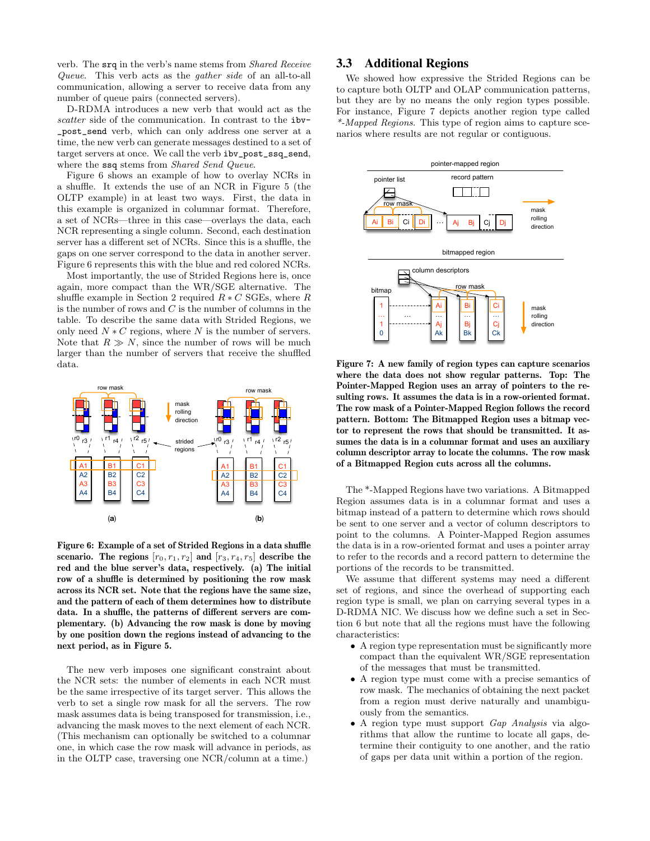verb. The srq in the verb's name stems from Shared Receive Queue. This verb acts as the gather side of an all-to-all communication, allowing a server to receive data from any number of queue pairs (connected servers).

D-RDMA introduces a new verb that would act as the scatter side of the communication. In contrast to the ibv-\_post\_send verb, which can only address one server at a time, the new verb can generate messages destined to a set of target servers at once. We call the verb ibv\_post\_ssq\_send, where the ssq stems from *Shared Send Queue*.

Figure 6 shows an example of how to overlay NCRs in a shuffle. It extends the use of an NCR in Figure 5 (the OLTP example) in at least two ways. First, the data in this example is organized in columnar format. Therefore, a set of NCRs—three in this case—overlays the data, each NCR representing a single column. Second, each destination server has a different set of NCRs. Since this is a shuffle, the gaps on one server correspond to the data in another server. Figure 6 represents this with the blue and red colored NCRs.

Most importantly, the use of Strided Regions here is, once again, more compact than the WR/SGE alternative. The shuffle example in Section 2 required  $R * C$  SGEs, where R is the number of rows and  $C$  is the number of columns in the table. To describe the same data with Strided Regions, we only need  $N * C$  regions, where N is the number of servers. Note that  $R \gg N$ , since the number of rows will be much larger than the number of servers that receive the shuffled data.



Figure 6: Example of a set of Strided Regions in a data shuffle scenario. The regions  $[r_0, r_1, r_2]$  and  $[r_3, r_4, r_5]$  describe the red and the blue server's data, respectively. (a) The initial row of a shuffle is determined by positioning the row mask across its NCR set. Note that the regions have the same size, and the pattern of each of them determines how to distribute data. In a shuffle, the patterns of different servers are complementary. (b) Advancing the row mask is done by moving by one position down the regions instead of advancing to the next period, as in Figure 5.

The new verb imposes one significant constraint about the NCR sets: the number of elements in each NCR must be the same irrespective of its target server. This allows the verb to set a single row mask for all the servers. The row mask assumes data is being transposed for transmission, i.e., advancing the mask moves to the next element of each NCR. (This mechanism can optionally be switched to a columnar one, in which case the row mask will advance in periods, as in the OLTP case, traversing one NCR/column at a time.)

## 3.3 Additional Regions

We showed how expressive the Strided Regions can be to capture both OLTP and OLAP communication patterns, but they are by no means the only region types possible. For instance, Figure 7 depicts another region type called \*-Mapped Regions. This type of region aims to capture scenarios where results are not regular or contiguous.



Figure 7: A new family of region types can capture scenarios where the data does not show regular patterns. Top: The Pointer-Mapped Region uses an array of pointers to the resulting rows. It assumes the data is in a row-oriented format. The row mask of a Pointer-Mapped Region follows the record pattern. Bottom: The Bitmapped Region uses a bitmap vector to represent the rows that should be transmitted. It assumes the data is in a columnar format and uses an auxiliary column descriptor array to locate the columns. The row mask of a Bitmapped Region cuts across all the columns.

The \*-Mapped Regions have two variations. A Bitmapped Region assumes data is in a columnar format and uses a bitmap instead of a pattern to determine which rows should be sent to one server and a vector of column descriptors to point to the columns. A Pointer-Mapped Region assumes the data is in a row-oriented format and uses a pointer array to refer to the records and a record pattern to determine the portions of the records to be transmitted.

We assume that different systems may need a different set of regions, and since the overhead of supporting each region type is small, we plan on carrying several types in a D-RDMA NIC. We discuss how we define such a set in Section 6 but note that all the regions must have the following characteristics:

- A region type representation must be significantly more compact than the equivalent WR/SGE representation of the messages that must be transmitted.
- A region type must come with a precise semantics of row mask. The mechanics of obtaining the next packet from a region must derive naturally and unambiguously from the semantics.
- A region type must support Gap Analysis via algorithms that allow the runtime to locate all gaps, determine their contiguity to one another, and the ratio of gaps per data unit within a portion of the region.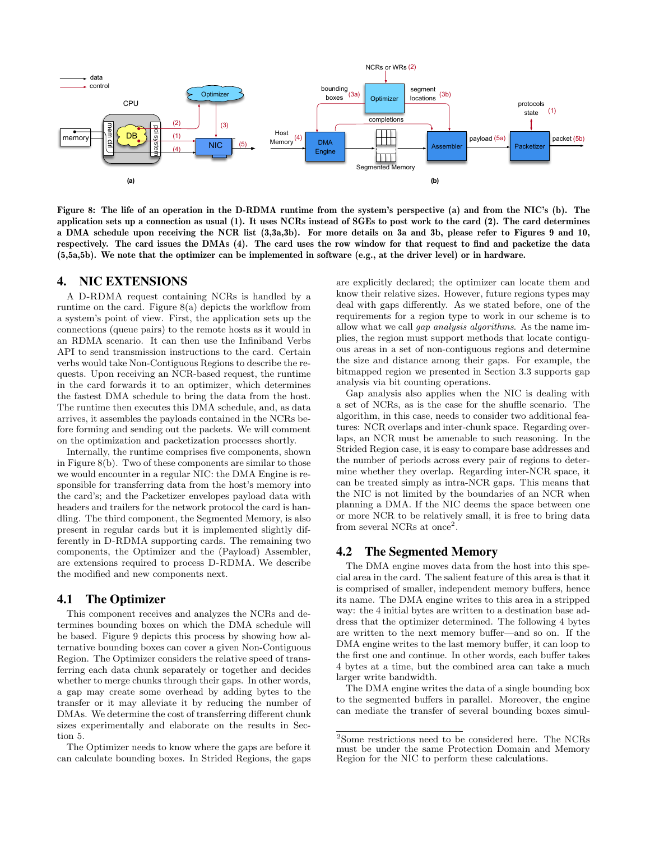

Figure 8: The life of an operation in the D-RDMA runtime from the system's perspective (a) and from the NIC's (b). The application sets up a connection as usual (1). It uses NCRs instead of SGEs to post work to the card (2). The card determines a DMA schedule upon receiving the NCR list (3,3a,3b). For more details on 3a and 3b, please refer to Figures 9 and 10, respectively. The card issues the DMAs (4). The card uses the row window for that request to find and packetize the data (5,5a,5b). We note that the optimizer can be implemented in software (e.g., at the driver level) or in hardware.

# 4. NIC EXTENSIONS

A D-RDMA request containing NCRs is handled by a runtime on the card. Figure 8(a) depicts the workflow from a system's point of view. First, the application sets up the connections (queue pairs) to the remote hosts as it would in an RDMA scenario. It can then use the Infiniband Verbs API to send transmission instructions to the card. Certain verbs would take Non-Contiguous Regions to describe the requests. Upon receiving an NCR-based request, the runtime in the card forwards it to an optimizer, which determines the fastest DMA schedule to bring the data from the host. The runtime then executes this DMA schedule, and, as data arrives, it assembles the payloads contained in the NCRs before forming and sending out the packets. We will comment on the optimization and packetization processes shortly.

Internally, the runtime comprises five components, shown in Figure 8(b). Two of these components are similar to those we would encounter in a regular NIC: the DMA Engine is responsible for transferring data from the host's memory into the card's; and the Packetizer envelopes payload data with headers and trailers for the network protocol the card is handling. The third component, the Segmented Memory, is also present in regular cards but it is implemented slightly differently in D-RDMA supporting cards. The remaining two components, the Optimizer and the (Payload) Assembler, are extensions required to process D-RDMA. We describe the modified and new components next.

#### 4.1 The Optimizer

This component receives and analyzes the NCRs and determines bounding boxes on which the DMA schedule will be based. Figure 9 depicts this process by showing how alternative bounding boxes can cover a given Non-Contiguous Region. The Optimizer considers the relative speed of transferring each data chunk separately or together and decides whether to merge chunks through their gaps. In other words, a gap may create some overhead by adding bytes to the transfer or it may alleviate it by reducing the number of DMAs. We determine the cost of transferring different chunk sizes experimentally and elaborate on the results in Section 5.

The Optimizer needs to know where the gaps are before it can calculate bounding boxes. In Strided Regions, the gaps are explicitly declared; the optimizer can locate them and know their relative sizes. However, future regions types may deal with gaps differently. As we stated before, one of the requirements for a region type to work in our scheme is to allow what we call gap analysis algorithms. As the name implies, the region must support methods that locate contiguous areas in a set of non-contiguous regions and determine the size and distance among their gaps. For example, the bitmapped region we presented in Section 3.3 supports gap analysis via bit counting operations.

Gap analysis also applies when the NIC is dealing with a set of NCRs, as is the case for the shuffle scenario. The algorithm, in this case, needs to consider two additional features: NCR overlaps and inter-chunk space. Regarding overlaps, an NCR must be amenable to such reasoning. In the Strided Region case, it is easy to compare base addresses and the number of periods across every pair of regions to determine whether they overlap. Regarding inter-NCR space, it can be treated simply as intra-NCR gaps. This means that the NIC is not limited by the boundaries of an NCR when planning a DMA. If the NIC deems the space between one or more NCR to be relatively small, it is free to bring data from several NCRs at once<sup>2</sup>.

#### 4.2 The Segmented Memory

The DMA engine moves data from the host into this special area in the card. The salient feature of this area is that it is comprised of smaller, independent memory buffers, hence its name. The DMA engine writes to this area in a stripped way: the 4 initial bytes are written to a destination base address that the optimizer determined. The following 4 bytes are written to the next memory buffer—and so on. If the DMA engine writes to the last memory buffer, it can loop to the first one and continue. In other words, each buffer takes 4 bytes at a time, but the combined area can take a much larger write bandwidth.

The DMA engine writes the data of a single bounding box to the segmented buffers in parallel. Moreover, the engine can mediate the transfer of several bounding boxes simul-

 $^{2}$  Some restrictions need to be considered here. The NCRs must be under the same Protection Domain and Memory Region for the NIC to perform these calculations.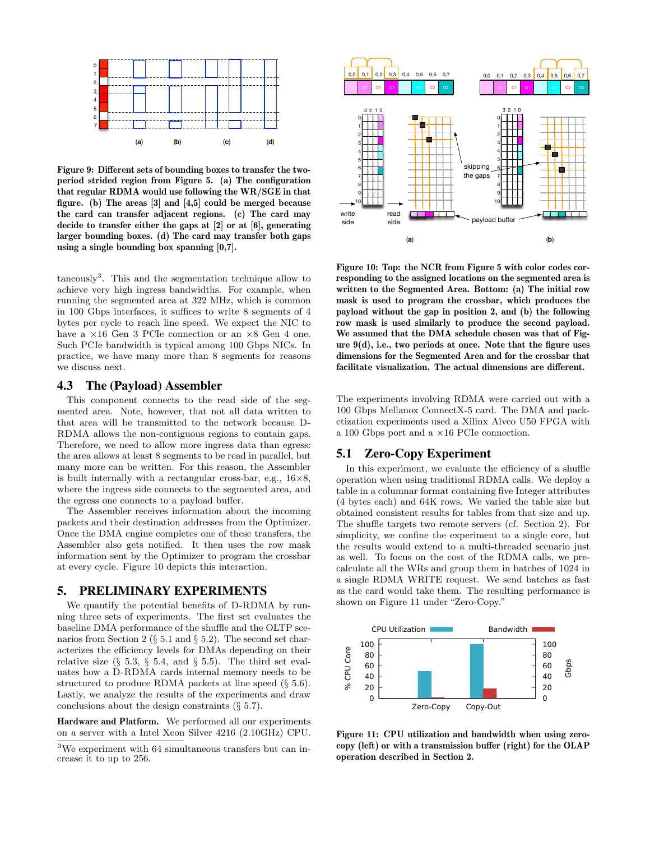

Figure 9: Different sets of bounding boxes to transfer the twoperiod strided region from Figure 5. (a) The configuration that regular RDMA would use following the WR/SGE in that figure. (b) The areas [3] and [4,5] could be merged because the card can transfer adjacent regions. (c) The card may decide to transfer either the gaps at [2] or at [6], generating larger bounding boxes. (d) The card may transfer both gaps using a single bounding box spanning [0,7].

taneously<sup>3</sup> . This and the segmentation technique allow to achieve very high ingress bandwidths. For example, when running the segmented area at 322 MHz, which is common in 100 Gbps interfaces, it suffices to write 8 segments of 4 bytes per cycle to reach line speed. We expect the NIC to have a  $\times 16$  Gen 3 PCIe connection or an  $\times 8$  Gen 4 one. Such PCIe bandwidth is typical among 100 Gbps NICs. In practice, we have many more than 8 segments for reasons we discuss next.

#### 4.3 The (Payload) Assembler

This component connects to the read side of the segmented area. Note, however, that not all data written to that area will be transmitted to the network because D-RDMA allows the non-contiguous regions to contain gaps. Therefore, we need to allow more ingress data than egress: the area allows at least 8 segments to be read in parallel, but many more can be written. For this reason, the Assembler is built internally with a rectangular cross-bar, e.g.,  $16\times8$ , where the ingress side connects to the segmented area, and the egress one connects to a payload buffer.

The Assembler receives information about the incoming packets and their destination addresses from the Optimizer. Once the DMA engine completes one of these transfers, the Assembler also gets notified. It then uses the row mask information sent by the Optimizer to program the crossbar at every cycle. Figure 10 depicts this interaction.

## 5. PRELIMINARY EXPERIMENTS

We quantify the potential benefits of D-RDMA by running three sets of experiments. The first set evaluates the baseline DMA performance of the shuffle and the OLTP scenarios from Section 2 (§ 5.1 and § 5.2). The second set characterizes the efficiency levels for DMAs depending on their relative size  $(\S 5.3, \S 5.4, \S 5.5)$ . The third set evaluates how a D-RDMA cards internal memory needs to be structured to produce RDMA packets at line speed (§ 5.6). Lastly, we analyze the results of the experiments and draw conclusions about the design constraints (§ 5.7).

Hardware and Platform. We performed all our experiments on a server with a Intel Xeon Silver 4216 (2.10GHz) CPU.



Figure 10: Top: the NCR from Figure 5 with color codes corresponding to the assigned locations on the segmented area is written to the Segmented Area. Bottom: (a) The initial row mask is used to program the crossbar, which produces the payload without the gap in position 2, and (b) the following row mask is used similarly to produce the second payload. We assumed that the DMA schedule chosen was that of Figure  $9(d)$ , i.e., two periods at once. Note that the figure uses dimensions for the Segmented Area and for the crossbar that facilitate visualization. The actual dimensions are different.

The experiments involving RDMA were carried out with a 100 Gbps Mellanox ConnectX-5 card. The DMA and packetization experiments used a Xilinx Alveo U50 FPGA with a 100 Gbps port and a ×16 PCIe connection.

## 5.1 Zero-Copy Experiment

In this experiment, we evaluate the efficiency of a shuffle operation when using traditional RDMA calls. We deploy a table in a columnar format containing five Integer attributes (4 bytes each) and 64K rows. We varied the table size but obtained consistent results for tables from that size and up. The shuffle targets two remote servers (cf. Section 2). For simplicity, we confine the experiment to a single core, but the results would extend to a multi-threaded scenario just as well. To focus on the cost of the RDMA calls, we precalculate all the WRs and group them in batches of 1024 in a single RDMA WRITE request. We send batches as fast as the card would take them. The resulting performance is shown on Figure 11 under "Zero-Copy."



Figure 11: CPU utilization and bandwidth when using zerocopy (left) or with a transmission buffer (right) for the OLAP operation described in Section 2.

<sup>3</sup>We experiment with 64 simultaneous transfers but can increase it to up to 256.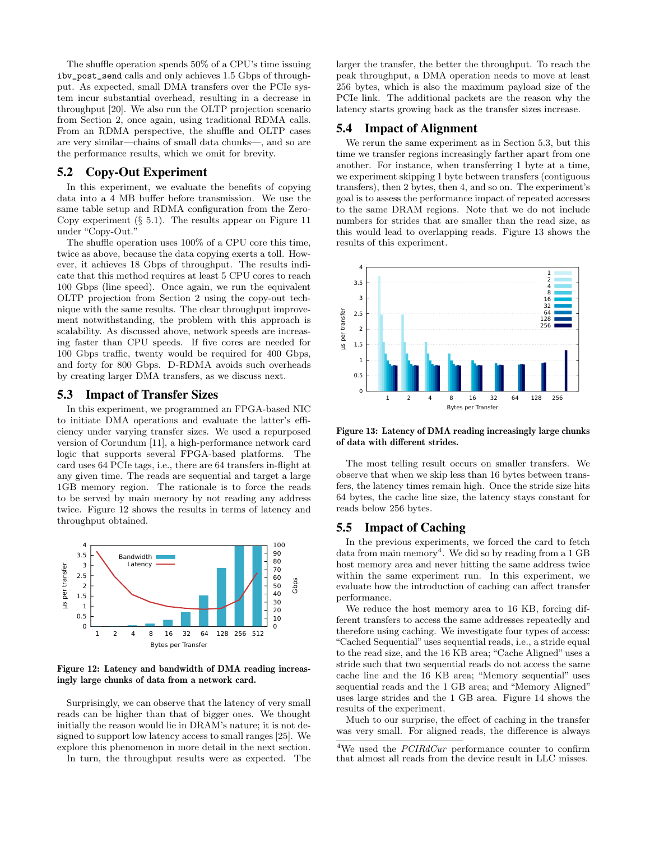The shuffle operation spends 50% of a CPU's time issuing ibv\_post\_send calls and only achieves 1.5 Gbps of throughput. As expected, small DMA transfers over the PCIe system incur substantial overhead, resulting in a decrease in throughput [20]. We also run the OLTP projection scenario from Section 2, once again, using traditional RDMA calls. From an RDMA perspective, the shuffle and OLTP cases are very similar—chains of small data chunks—, and so are the performance results, which we omit for brevity.

#### 5.2 Copy-Out Experiment

In this experiment, we evaluate the benefits of copying data into a 4 MB buffer before transmission. We use the same table setup and RDMA configuration from the Zero-Copy experiment  $(\S 5.1)$ . The results appear on Figure 11 under "Copy-Out."

The shuffle operation uses 100% of a CPU core this time, twice as above, because the data copying exerts a toll. However, it achieves 18 Gbps of throughput. The results indicate that this method requires at least 5 CPU cores to reach 100 Gbps (line speed). Once again, we run the equivalent OLTP projection from Section 2 using the copy-out technique with the same results. The clear throughput improvement notwithstanding, the problem with this approach is scalability. As discussed above, network speeds are increasing faster than CPU speeds. If five cores are needed for 100 Gbps traffic, twenty would be required for 400 Gbps, and forty for 800 Gbps. D-RDMA avoids such overheads by creating larger DMA transfers, as we discuss next.

#### 5.3 Impact of Transfer Sizes

In this experiment, we programmed an FPGA-based NIC to initiate DMA operations and evaluate the latter's efficiency under varying transfer sizes. We used a repurposed version of Corundum [11], a high-performance network card logic that supports several FPGA-based platforms. The card uses 64 PCIe tags, i.e., there are 64 transfers in-flight at any given time. The reads are sequential and target a large 1GB memory region. The rationale is to force the reads to be served by main memory by not reading any address twice. Figure 12 shows the results in terms of latency and throughput obtained.



Figure 12: Latency and bandwidth of DMA reading increasingly large chunks of data from a network card.

Surprisingly, we can observe that the latency of very small reads can be higher than that of bigger ones. We thought initially the reason would lie in DRAM's nature; it is not designed to support low latency access to small ranges [25]. We explore this phenomenon in more detail in the next section.

In turn, the throughput results were as expected. The

larger the transfer, the better the throughput. To reach the peak throughput, a DMA operation needs to move at least 256 bytes, which is also the maximum payload size of the PCIe link. The additional packets are the reason why the latency starts growing back as the transfer sizes increase.

#### 5.4 Impact of Alignment

We rerun the same experiment as in Section 5.3, but this time we transfer regions increasingly farther apart from one another. For instance, when transferring 1 byte at a time, we experiment skipping 1 byte between transfers (contiguous transfers), then 2 bytes, then 4, and so on. The experiment's goal is to assess the performance impact of repeated accesses to the same DRAM regions. Note that we do not include numbers for strides that are smaller than the read size, as this would lead to overlapping reads. Figure 13 shows the results of this experiment.



Figure 13: Latency of DMA reading increasingly large chunks of data with different strides.

The most telling result occurs on smaller transfers. We observe that when we skip less than 16 bytes between transfers, the latency times remain high. Once the stride size hits 64 bytes, the cache line size, the latency stays constant for reads below 256 bytes.

## 5.5 Impact of Caching

In the previous experiments, we forced the card to fetch data from main memory<sup>4</sup>. We did so by reading from a  $1 \text{ GB}$ host memory area and never hitting the same address twice within the same experiment run. In this experiment, we evaluate how the introduction of caching can affect transfer performance.

We reduce the host memory area to 16 KB, forcing different transfers to access the same addresses repeatedly and therefore using caching. We investigate four types of access: "Cached Sequential" uses sequential reads, i.e., a stride equal to the read size, and the 16 KB area; "Cache Aligned" uses a stride such that two sequential reads do not access the same cache line and the 16 KB area; "Memory sequential" uses sequential reads and the 1 GB area; and "Memory Aligned" uses large strides and the 1 GB area. Figure 14 shows the results of the experiment.

Much to our surprise, the effect of caching in the transfer was very small. For aligned reads, the difference is always

<sup>&</sup>lt;sup>4</sup>We used the  $PCIRdCur$  performance counter to confirm that almost all reads from the device result in LLC misses.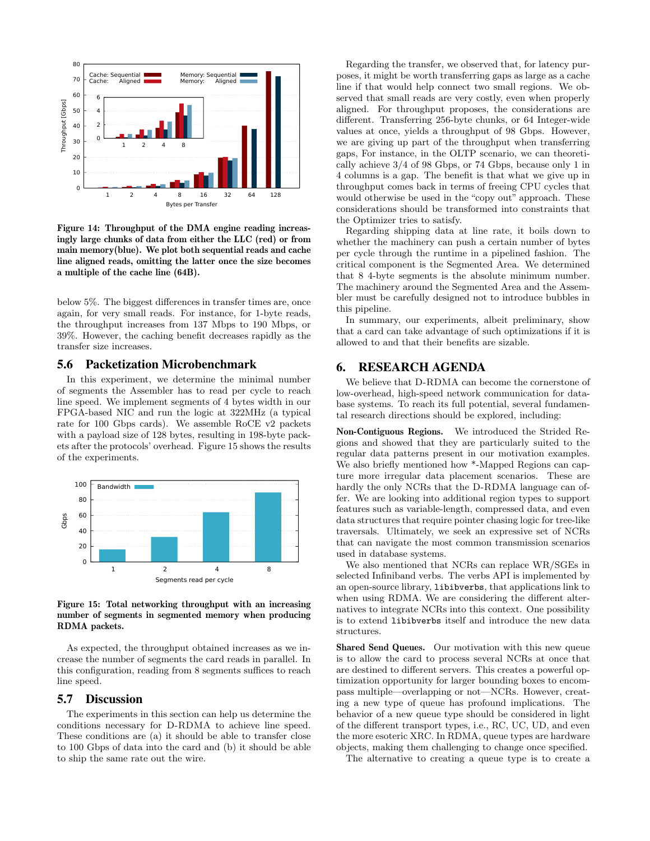

Figure 14: Throughput of the DMA engine reading increasingly large chunks of data from either the LLC (red) or from main memory(blue). We plot both sequential reads and cache line aligned reads, omitting the latter once the size becomes a multiple of the cache line (64B).

below 5%. The biggest differences in transfer times are, once again, for very small reads. For instance, for 1-byte reads, the throughput increases from 137 Mbps to 190 Mbps, or 39%. However, the caching benefit decreases rapidly as the transfer size increases.

## 5.6 Packetization Microbenchmark

In this experiment, we determine the minimal number of segments the Assembler has to read per cycle to reach line speed. We implement segments of 4 bytes width in our FPGA-based NIC and run the logic at 322MHz (a typical rate for 100 Gbps cards). We assemble RoCE v2 packets with a payload size of 128 bytes, resulting in 198-byte packets after the protocols' overhead. Figure 15 shows the results of the experiments.



Figure 15: Total networking throughput with an increasing number of segments in segmented memory when producing RDMA packets.

As expected, the throughput obtained increases as we increase the number of segments the card reads in parallel. In this configuration, reading from 8 segments suffices to reach line speed.

# 5.7 Discussion

The experiments in this section can help us determine the conditions necessary for D-RDMA to achieve line speed. These conditions are (a) it should be able to transfer close to 100 Gbps of data into the card and (b) it should be able to ship the same rate out the wire.

Regarding the transfer, we observed that, for latency purposes, it might be worth transferring gaps as large as a cache line if that would help connect two small regions. We observed that small reads are very costly, even when properly aligned. For throughput proposes, the considerations are different. Transferring 256-byte chunks, or 64 Integer-wide values at once, yields a throughput of 98 Gbps. However, we are giving up part of the throughput when transferring gaps, For instance, in the OLTP scenario, we can theoretically achieve 3/4 of 98 Gbps, or 74 Gbps, because only 1 in 4 columns is a gap. The benefit is that what we give up in throughput comes back in terms of freeing CPU cycles that would otherwise be used in the "copy out" approach. These considerations should be transformed into constraints that the Optimizer tries to satisfy.

Regarding shipping data at line rate, it boils down to whether the machinery can push a certain number of bytes per cycle through the runtime in a pipelined fashion. The critical component is the Segmented Area. We determined that 8 4-byte segments is the absolute minimum number. The machinery around the Segmented Area and the Assembler must be carefully designed not to introduce bubbles in this pipeline.

In summary, our experiments, albeit preliminary, show that a card can take advantage of such optimizations if it is allowed to and that their benefits are sizable.

# 6. RESEARCH AGENDA

We believe that D-RDMA can become the cornerstone of low-overhead, high-speed network communication for database systems. To reach its full potential, several fundamental research directions should be explored, including:

Non-Contiguous Regions. We introduced the Strided Regions and showed that they are particularly suited to the regular data patterns present in our motivation examples. We also briefly mentioned how \*-Mapped Regions can capture more irregular data placement scenarios. These are hardly the only NCRs that the D-RDMA language can offer. We are looking into additional region types to support features such as variable-length, compressed data, and even data structures that require pointer chasing logic for tree-like traversals. Ultimately, we seek an expressive set of NCRs that can navigate the most common transmission scenarios used in database systems.

We also mentioned that NCRs can replace WR/SGEs in selected Infiniband verbs. The verbs API is implemented by an open-source library, libibverbs, that applications link to when using RDMA. We are considering the different alternatives to integrate NCRs into this context. One possibility is to extend libibverbs itself and introduce the new data structures.

Shared Send Queues. Our motivation with this new queue is to allow the card to process several NCRs at once that are destined to different servers. This creates a powerful optimization opportunity for larger bounding boxes to encompass multiple—overlapping or not—NCRs. However, creating a new type of queue has profound implications. The behavior of a new queue type should be considered in light of the different transport types, i.e., RC, UC, UD, and even the more esoteric XRC. In RDMA, queue types are hardware objects, making them challenging to change once specified.

The alternative to creating a queue type is to create a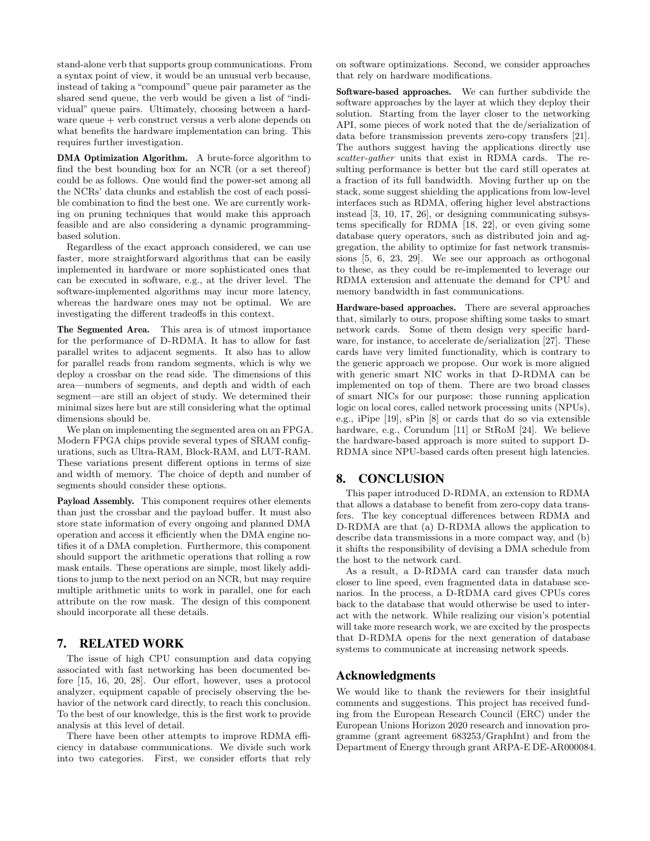stand-alone verb that supports group communications. From a syntax point of view, it would be an unusual verb because, instead of taking a "compound" queue pair parameter as the shared send queue, the verb would be given a list of "individual" queue pairs. Ultimately, choosing between a hardware queue + verb construct versus a verb alone depends on what benefits the hardware implementation can bring. This requires further investigation.

DMA Optimization Algorithm. A brute-force algorithm to find the best bounding box for an NCR (or a set thereof) could be as follows. One would find the power-set among all the NCRs' data chunks and establish the cost of each possible combination to find the best one. We are currently working on pruning techniques that would make this approach feasible and are also considering a dynamic programmingbased solution.

Regardless of the exact approach considered, we can use faster, more straightforward algorithms that can be easily implemented in hardware or more sophisticated ones that can be executed in software, e.g., at the driver level. The software-implemented algorithms may incur more latency, whereas the hardware ones may not be optimal. We are investigating the different tradeoffs in this context.

The Segmented Area. This area is of utmost importance for the performance of D-RDMA. It has to allow for fast parallel writes to adjacent segments. It also has to allow for parallel reads from random segments, which is why we deploy a crossbar on the read side. The dimensions of this area—numbers of segments, and depth and width of each segment—are still an object of study. We determined their minimal sizes here but are still considering what the optimal dimensions should be.

We plan on implementing the segmented area on an FPGA. Modern FPGA chips provide several types of SRAM configurations, such as Ultra-RAM, Block-RAM, and LUT-RAM. These variations present different options in terms of size and width of memory. The choice of depth and number of segments should consider these options.

Payload Assembly. This component requires other elements than just the crossbar and the payload buffer. It must also store state information of every ongoing and planned DMA operation and access it efficiently when the DMA engine notifies it of a DMA completion. Furthermore, this component should support the arithmetic operations that rolling a row mask entails. These operations are simple, most likely additions to jump to the next period on an NCR, but may require multiple arithmetic units to work in parallel, one for each attribute on the row mask. The design of this component should incorporate all these details.

## 7. RELATED WORK

The issue of high CPU consumption and data copying associated with fast networking has been documented before [15, 16, 20, 28]. Our effort, however, uses a protocol analyzer, equipment capable of precisely observing the behavior of the network card directly, to reach this conclusion. To the best of our knowledge, this is the first work to provide analysis at this level of detail.

There have been other attempts to improve RDMA efficiency in database communications. We divide such work into two categories. First, we consider efforts that rely on software optimizations. Second, we consider approaches that rely on hardware modifications.

Software-based approaches. We can further subdivide the software approaches by the layer at which they deploy their solution. Starting from the layer closer to the networking API, some pieces of work noted that the de/serialization of data before transmission prevents zero-copy transfers [21]. The authors suggest having the applications directly use scatter-gather units that exist in RDMA cards. The resulting performance is better but the card still operates at a fraction of its full bandwidth. Moving further up on the stack, some suggest shielding the applications from low-level interfaces such as RDMA, offering higher level abstractions instead [3, 10, 17, 26], or designing communicating subsystems specifically for RDMA [18, 22], or even giving some database query operators, such as distributed join and aggregation, the ability to optimize for fast network transmissions [5, 6, 23, 29]. We see our approach as orthogonal to these, as they could be re-implemented to leverage our RDMA extension and attenuate the demand for CPU and memory bandwidth in fast communications.

Hardware-based approaches. There are several approaches that, similarly to ours, propose shifting some tasks to smart network cards. Some of them design very specific hardware, for instance, to accelerate de/serialization [27]. These cards have very limited functionality, which is contrary to the generic approach we propose. Our work is more aligned with generic smart NIC works in that D-RDMA can be implemented on top of them. There are two broad classes of smart NICs for our purpose: those running application logic on local cores, called network processing units (NPUs), e.g., iPipe [19], sPin [8] or cards that do so via extensible hardware, e.g., Corundum [11] or StRoM [24]. We believe the hardware-based approach is more suited to support D-RDMA since NPU-based cards often present high latencies.

## 8. CONCLUSION

This paper introduced D-RDMA, an extension to RDMA that allows a database to benefit from zero-copy data transfers. The key conceptual differences between RDMA and D-RDMA are that (a) D-RDMA allows the application to describe data transmissions in a more compact way, and (b) it shifts the responsibility of devising a DMA schedule from the host to the network card.

As a result, a D-RDMA card can transfer data much closer to line speed, even fragmented data in database scenarios. In the process, a D-RDMA card gives CPUs cores back to the database that would otherwise be used to interact with the network. While realizing our vision's potential will take more research work, we are excited by the prospects that D-RDMA opens for the next generation of database systems to communicate at increasing network speeds.

#### Acknowledgments

We would like to thank the reviewers for their insightful comments and suggestions. This project has received funding from the European Research Council (ERC) under the European Unions Horizon 2020 research and innovation programme (grant agreement 683253/GraphInt) and from the Department of Energy through grant ARPA-E DE-AR000084.